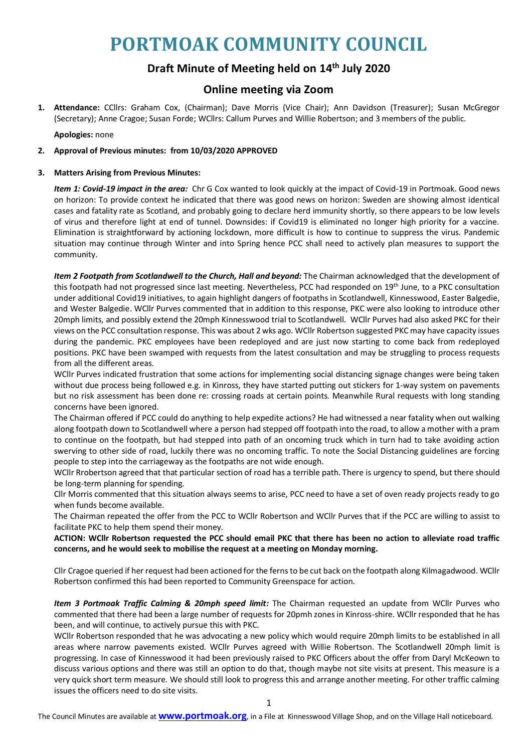# **PORTMOAK COMMUNITY COUNCIL**

## **Draft Minute of Meeting held on 14th July 2020**

### **Online meeting via Zoom**

**1. Attendance:** CCllrs: Graham Cox, (Chairman); Dave Morris (Vice Chair); Ann Davidson (Treasurer); Susan McGregor (Secretary); Anne Cragoe; Susan Forde; WCllrs: Callum Purves and Willie Robertson; and 3 members of the public.

**Apologies:** none

#### **2. Approval of Previous minutes: from 10/03/2020 APPROVED**

#### **3. Matters Arising from Previous Minutes:**

*Item 1: Covid-19 impact in the area:* Chr G Cox wanted to look quickly at the impact of Covid-19 in Portmoak. Good news on horizon: To provide context he indicated that there was good news on horizon: Sweden are showing almost identical cases and fatality rate as Scotland, and probably going to declare herd immunity shortly, so there appears to be low levels of virus and therefore light at end of tunnel. Downsides: if Covid19 is eliminated no longer high priority for a vaccine. Elimination is straightforward by actioning lockdown, more difficult is how to continue to suppress the virus. Pandemic situation may continue through Winter and into Spring hence PCC shall need to actively plan measures to support the community.

*Item 2 Footpath from Scotlandwell to the Church, Hall and beyond:* The Chairman acknowledged that the development of this footpath had not progressed since last meeting. Nevertheless, PCC had responded on 19<sup>th</sup> June, to a PKC consultation under additional Covid19 initiatives, to again highlight dangers of footpaths in Scotlandwell, Kinnesswood, Easter Balgedie, and Wester Balgedie. WCllr Purves commented that in addition to this response, PKC were also looking to introduce other 20mph limits, and possibly extend the 20mph Kinnesswood trial to Scotlandwell. WCllr Purves had also asked PKC for their views on the PCC consultation response. This was about 2 wks ago. WCllr Robertson suggested PKC may have capacity issues during the pandemic. PKC employees have been redeployed and are just now starting to come back from redeployed positions. PKC have been swamped with requests from the latest consultation and may be struggling to process requests from all the different areas.

WCllr Purves indicated frustration that some actions for implementing social distancing signage changes were being taken without due process being followed e.g. in Kinross, they have started putting out stickers for 1-way system on pavements but no risk assessment has been done re: crossing roads at certain points. Meanwhile Rural requests with long standing concerns have been ignored.

The Chairman offered if PCC could do anything to help expedite actions? He had witnessed a near fatality when out walking along footpath down to Scotlandwell where a person had stepped off footpath into the road, to allow a mother with a pram to continue on the footpath, but had stepped into path of an oncoming truck which in turn had to take avoiding action swerving to other side of road, luckily there was no oncoming traffic. To note the Social Distancing guidelines are forcing people to step into the carriageway as the footpaths are not wide enough.

WCllr Rrobertson agreed that that particular section of road has a terrible path. There is urgency to spend, but there should be long-term planning for spending.

Cllr Morris commented that this situation always seems to arise, PCC need to have a set of oven ready projects ready to go when funds become available.

The Chairman repeated the offer from the PCC to WCllr Robertson and WCllr Purves that if the PCC are willing to assist to facilitate PKC to help them spend their money.

**ACTION: WCllr Robertson requested the PCC should email PKC that there has been no action to alleviate road traffic concerns, and he would seek to mobilise the request at a meeting on Monday morning.**

Cllr Cragoe queried if her request had been actioned for the ferns to be cut back on the footpath along Kilmagadwood. WCllr Robertson confirmed this had been reported to Community Greenspace for action.

*Item 3 Portmoak Traffic Calming & 20mph speed limit:* The Chairman requested an update from WCllr Purves who commented that there had been a large number of requests for 20pmh zones in Kinross-shire. WCllr responded that he has been, and will continue, to actively pursue this with PKC.

WCllr Robertson responded that he was advocating a new policy which would require 20mph limits to be established in all areas where narrow pavements existed. WCllr Purves agreed with Willie Robertson. The Scotlandwell 20mph limit is progressing. In case of Kinnesswood it had been previously raised to PKC Officers about the offer from Daryl McKeown to discuss various options and there was still an option to do that, though maybe not site visits at present. This measure is a very quick short term measure. We should still look to progress this and arrange another meeting. For other traffic calming issues the officers need to do site visits.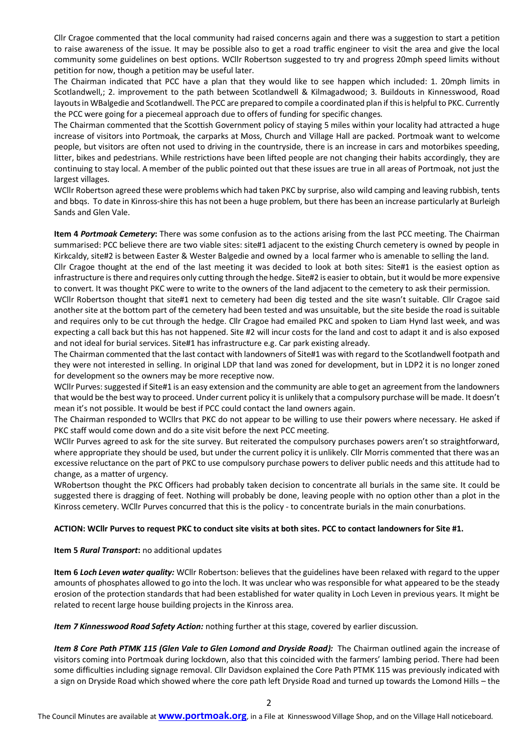Cllr Cragoe commented that the local community had raised concerns again and there was a suggestion to start a petition to raise awareness of the issue. It may be possible also to get a road traffic engineer to visit the area and give the local community some guidelines on best options. WCllr Robertson suggested to try and progress 20mph speed limits without petition for now, though a petition may be useful later.

The Chairman indicated that PCC have a plan that they would like to see happen which included: 1. 20mph limits in Scotlandwell,; 2. improvement to the path between Scotlandwell & Kilmagadwood; 3. Buildouts in Kinnesswood, Road layouts in WBalgedie and Scotlandwell. The PCC are prepared to compile a coordinated plan if this is helpful to PKC. Currently the PCC were going for a piecemeal approach due to offers of funding for specific changes.

The Chairman commented that the Scottish Government policy of staying 5 miles within your locality had attracted a huge increase of visitors into Portmoak, the carparks at Moss, Church and Village Hall are packed. Portmoak want to welcome people, but visitors are often not used to driving in the countryside, there is an increase in cars and motorbikes speeding, litter, bikes and pedestrians. While restrictions have been lifted people are not changing their habits accordingly, they are continuing to stay local. A member of the public pointed out that these issues are true in all areas of Portmoak, not just the largest villages.

WCllr Robertson agreed these were problems which had taken PKC by surprise, also wild camping and leaving rubbish, tents and bbqs. To date in Kinross-shire this has not been a huge problem, but there has been an increase particularly at Burleigh Sands and Glen Vale.

**Item 4** *Portmoak Cemetery***:** There was some confusion as to the actions arising from the last PCC meeting. The Chairman summarised: PCC believe there are two viable sites: site#1 adjacent to the existing Church cemetery is owned by people in Kirkcaldy, site#2 is between Easter & Wester Balgedie and owned by a local farmer who is amenable to selling the land.

Cllr Cragoe thought at the end of the last meeting it was decided to look at both sites: Site#1 is the easiest option as infrastructure is there and requires only cutting through the hedge. Site#2 is easier to obtain, but it would be more expensive to convert. It was thought PKC were to write to the owners of the land adjacent to the cemetery to ask their permission.

WCllr Robertson thought that site#1 next to cemetery had been dig tested and the site wasn't suitable. Cllr Cragoe said another site at the bottom part of the cemetery had been tested and was unsuitable, but the site beside the road is suitable and requires only to be cut through the hedge. Cllr Cragoe had emailed PKC and spoken to Liam Hynd last week, and was expecting a call back but this has not happened. Site #2 will incur costs for the land and cost to adapt it and is also exposed and not ideal for burial services. Site#1 has infrastructure e.g. Car park existing already.

The Chairman commented that the last contact with landowners of Site#1 was with regard to the Scotlandwell footpath and they were not interested in selling. In original LDP that land was zoned for development, but in LDP2 it is no longer zoned for development so the owners may be more receptive now.

WCllr Purves: suggested if Site#1 is an easy extension and the community are able to get an agreement from the landowners that would be the best way to proceed. Under current policy it is unlikely that a compulsory purchase will be made. It doesn't mean it's not possible. It would be best if PCC could contact the land owners again.

The Chairman responded to WCllrs that PKC do not appear to be willing to use their powers where necessary. He asked if PKC staff would come down and do a site visit before the next PCC meeting.

WCllr Purves agreed to ask for the site survey. But reiterated the compulsory purchases powers aren't so straightforward, where appropriate they should be used, but under the current policy it is unlikely. Cllr Morris commented that there was an excessive reluctance on the part of PKC to use compulsory purchase powers to deliver public needs and this attitude had to change, as a matter of urgency.

WRobertson thought the PKC Officers had probably taken decision to concentrate all burials in the same site. It could be suggested there is dragging of feet. Nothing will probably be done, leaving people with no option other than a plot in the Kinross cemetery. WCllr Purves concurred that this is the policy - to concentrate burials in the main conurbations.

#### **ACTION: WCllr Purves to request PKC to conduct site visits at both sites. PCC to contact landowners for Site #1.**

#### **Item 5** *Rural Transport***:** no additional updates

**Item 6** *Loch Leven water quality:* WCllr Robertson: believes that the guidelines have been relaxed with regard to the upper amounts of phosphates allowed to go into the loch. It was unclear who was responsible for what appeared to be the steady erosion of the protection standards that had been established for water quality in Loch Leven in previous years. It might be related to recent large house building projects in the Kinross area.

*Item 7 Kinnesswood Road Safety Action:* nothing further at this stage, covered by earlier discussion.

*Item 8 Core Path PTMK 115 (Glen Vale to Glen Lomond and Dryside Road):* The Chairman outlined again the increase of visitors coming into Portmoak during lockdown, also that this coincided with the farmers' lambing period. There had been some difficulties including signage removal. Cllr Davidson explained the Core Path PTMK 115 was previously indicated with a sign on Dryside Road which showed where the core path left Dryside Road and turned up towards the Lomond Hills – the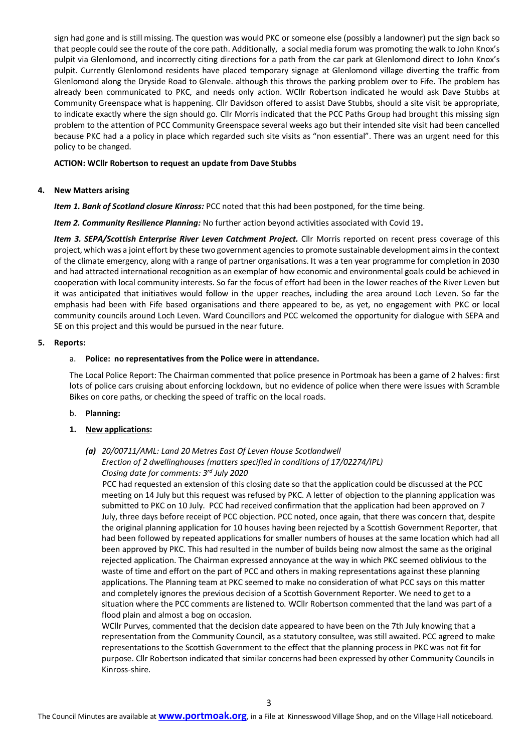sign had gone and is still missing. The question was would PKC or someone else (possibly a landowner) put the sign back so that people could see the route of the core path. Additionally, a social media forum was promoting the walk to John Knox's pulpit via Glenlomond, and incorrectly citing directions for a path from the car park at Glenlomond direct to John Knox's pulpit. Currently Glenlomond residents have placed temporary signage at Glenlomond village diverting the traffic from Glenlomond along the Dryside Road to Glenvale. although this throws the parking problem over to Fife. The problem has already been communicated to PKC, and needs only action. WCllr Robertson indicated he would ask Dave Stubbs at Community Greenspace what is happening. Cllr Davidson offered to assist Dave Stubbs, should a site visit be appropriate, to indicate exactly where the sign should go. Cllr Morris indicated that the PCC Paths Group had brought this missing sign problem to the attention of PCC Community Greenspace several weeks ago but their intended site visit had been cancelled because PKC had a a policy in place which regarded such site visits as "non essential". There was an urgent need for this policy to be changed.

#### **ACTION: WCllr Robertson to request an update from Dave Stubbs**

#### **4. New Matters arising**

*Item 1. Bank of Scotland closure Kinross:* PCC noted that this had been postponed, for the time being.

*Item 2. Community Resilience Planning:* No further action beyond activities associated with Covid 19**.**

*Item 3. SEPA/Scottish Enterprise River Leven Catchment Project.* Cllr Morris reported on recent press coverage of this project, which was a joint effort by these two government agencies to promote sustainable development aims in the context of the climate emergency, along with a range of partner organisations. It was a ten year programme for completion in 2030 and had attracted international recognition as an exemplar of how economic and environmental goals could be achieved in cooperation with local community interests. So far the focus of effort had been in the lower reaches of the River Leven but it was anticipated that initiatives would follow in the upper reaches, including the area around Loch Leven. So far the emphasis had been with Fife based organisations and there appeared to be, as yet, no engagement with PKC or local community councils around Loch Leven. Ward Councillors and PCC welcomed the opportunity for dialogue with SEPA and SE on this project and this would be pursued in the near future.

#### **5. Reports:**

#### a. **Police: no representatives from the Police were in attendance.**

The Local Police Report: The Chairman commented that police presence in Portmoak has been a game of 2 halves: first lots of police cars cruising about enforcing lockdown, but no evidence of police when there were issues with Scramble Bikes on core paths, or checking the speed of traffic on the local roads.

#### b. **Planning:**

#### **1. New applications:**

#### *(a) 20/00711/AML: Land 20 Metres East Of Leven House Scotlandwell*

# *Erection of 2 dwellinghouses (matters specified in conditions of 17/02274/IPL)*

*Closing date for comments: 3rd July 2020*

PCC had requested an extension of this closing date so that the application could be discussed at the PCC meeting on 14 July but this request was refused by PKC. A letter of objection to the planning application was submitted to PKC on 10 July. PCC had received confirmation that the application had been approved on 7 July, three days before receipt of PCC objection. PCC noted, once again, that there was concern that, despite the original planning application for 10 houses having been rejected by a Scottish Government Reporter, that had been followed by repeated applications for smaller numbers of houses at the same location which had all been approved by PKC. This had resulted in the number of builds being now almost the same as the original rejected application. The Chairman expressed annoyance at the way in which PKC seemed oblivious to the waste of time and effort on the part of PCC and others in making representations against these planning applications. The Planning team at PKC seemed to make no consideration of what PCC says on this matter and completely ignores the previous decision of a Scottish Government Reporter. We need to get to a situation where the PCC comments are listened to. WCllr Robertson commented that the land was part of a flood plain and almost a bog on occasion.

WCllr Purves, commented that the decision date appeared to have been on the 7th July knowing that a representation from the Community Council, as a statutory consultee, was still awaited. PCC agreed to make representations to the Scottish Government to the effect that the planning process in PKC was not fit for purpose. Cllr Robertson indicated that similar concerns had been expressed by other Community Councils in Kinross-shire.